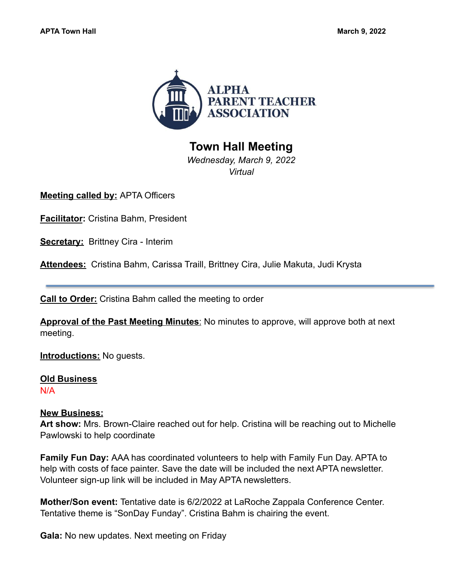

**Town Hall Meeting**

*Wednesday, March 9, 2022 Virtual*

**Meeting called by:** APTA Officers

**Facilitator:** Cristina Bahm, President

**Secretary:** Brittney Cira - Interim

**Attendees:** Cristina Bahm, Carissa Traill, Brittney Cira, Julie Makuta, Judi Krysta

**Call to Order:** Cristina Bahm called the meeting to order

**Approval of the Past Meeting Minutes**: No minutes to approve, will approve both at next meeting.

**Introductions:** No guests.

**Old Business** N/A

## **New Business:**

**Art show:** Mrs. Brown-Claire reached out for help. Cristina will be reaching out to Michelle Pawlowski to help coordinate

**Family Fun Day:** AAA has coordinated volunteers to help with Family Fun Day. APTA to help with costs of face painter. Save the date will be included the next APTA newsletter. Volunteer sign-up link will be included in May APTA newsletters.

**Mother/Son event:** Tentative date is 6/2/2022 at LaRoche Zappala Conference Center. Tentative theme is "SonDay Funday". Cristina Bahm is chairing the event.

**Gala:** No new updates. Next meeting on Friday